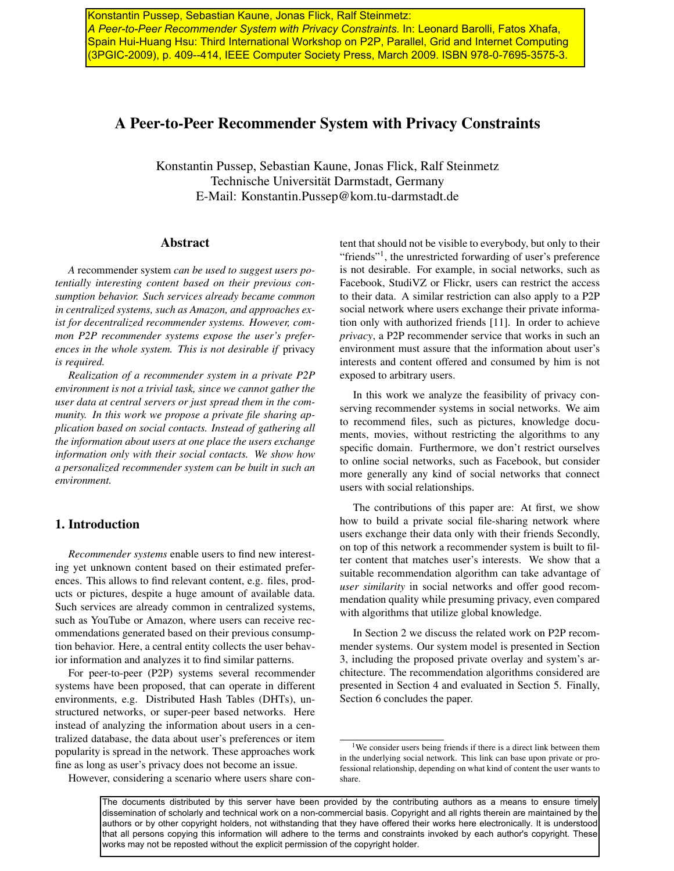A Peer-to-Peer Recommender System with Privacy Constraints. In: Leonard Barolli, Fatos Xhafa, **Spain Hui-Huang Hsu: Third International Workshop on P2P, Parallel, Grid and Internet Computing |** *Grid and Internet Computing (3PGIC-2009), March 2009.* (3PGIC-2009), p. 409--414, IEEE Computer Society Press, March 2009. ISBN 978-0-7695-3575-3. Konstantin Pussep, Sebastian Kaune, Jonas Flick, Ralf Steinmetz:

# A Peer-to-Peer Recommender System with Privacy Constraints

Konstantin Pussep, Sebastian Kaune, Jonas Flick, Ralf Steinmetz Technische Universität Darmstadt, Germany E-Mail: Konstantin.Pussep@kom.tu-darmstadt.de

# Abstract

*A* recommender system *can be used to suggest users potentially interesting content based on their previous consumption behavior. Such services already became common in centralized systems, such as Amazon, and approaches exist for decentralized recommender systems. However, common P2P recommender systems expose the user's preferences in the whole system. This is not desirable if* privacy *is required.*

*Realization of a recommender system in a private P2P environment is not a trivial task, since we cannot gather the user data at central servers or just spread them in the community. In this work we propose a private file sharing application based on social contacts. Instead of gathering all the information about users at one place the users exchange information only with their social contacts. We show how a personalized recommender system can be built in such an environment.*

# 1. Introduction

*Recommender systems* enable users to find new interesting yet unknown content based on their estimated preferences. This allows to find relevant content, e.g. files, products or pictures, despite a huge amount of available data. Such services are already common in centralized systems, such as YouTube or Amazon, where users can receive recommendations generated based on their previous consumption behavior. Here, a central entity collects the user behavior information and analyzes it to find similar patterns.

For peer-to-peer (P2P) systems several recommender systems have been proposed, that can operate in different environments, e.g. Distributed Hash Tables (DHTs), unstructured networks, or super-peer based networks. Here instead of analyzing the information about users in a centralized database, the data about user's preferences or item popularity is spread in the network. These approaches work fine as long as user's privacy does not become an issue.

However, considering a scenario where users share con-

tent that should not be visible to everybody, but only to their "friends"<sup>1</sup>, the unrestricted forwarding of user's preference is not desirable. For example, in social networks, such as Facebook, StudiVZ or Flickr, users can restrict the access to their data. A similar restriction can also apply to a P2P social network where users exchange their private information only with authorized friends [11]. In order to achieve *privacy*, a P2P recommender service that works in such an environment must assure that the information about user's interests and content offered and consumed by him is not exposed to arbitrary users.

In this work we analyze the feasibility of privacy conserving recommender systems in social networks. We aim to recommend files, such as pictures, knowledge documents, movies, without restricting the algorithms to any specific domain. Furthermore, we don't restrict ourselves to online social networks, such as Facebook, but consider more generally any kind of social networks that connect users with social relationships.

The contributions of this paper are: At first, we show how to build a private social file-sharing network where users exchange their data only with their friends Secondly, on top of this network a recommender system is built to filter content that matches user's interests. We show that a suitable recommendation algorithm can take advantage of *user similarity* in social networks and offer good recommendation quality while presuming privacy, even compared with algorithms that utilize global knowledge.

In Section 2 we discuss the related work on P2P recommender systems. Our system model is presented in Section 3, including the proposed private overlay and system's architecture. The recommendation algorithms considered are presented in Section 4 and evaluated in Section 5. Finally, Section 6 concludes the paper.

<sup>&</sup>lt;sup>1</sup>We consider users being friends if there is a direct link between them in the underlying social network. This link can base upon private or professional relationship, depending on what kind of content the user wants to share.

The documents distributed by this server have been provided by the contributing authors as a means to ensure timely dissemination of scholarly and technical work on a non-commercial basis. Copyright and all rights therein are maintained by the authors or by other copyright holders, not withstanding that they have offered their works here electronically. It is understood that all persons copying this information will adhere to the terms and constraints invoked by each author's copyright. These works may not be reposted without the explicit permission of the copyright holder.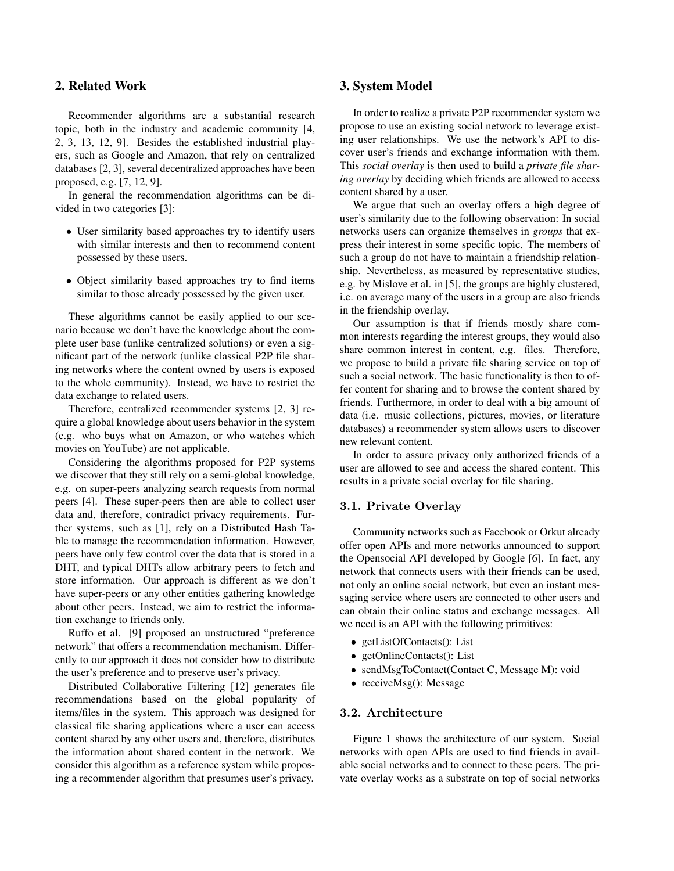# 2. Related Work

Recommender algorithms are a substantial research topic, both in the industry and academic community [4, 2, 3, 13, 12, 9]. Besides the established industrial players, such as Google and Amazon, that rely on centralized databases[2, 3], several decentralized approaches have been proposed, e.g. [7, 12, 9].

In general the recommendation algorithms can be divided in two categories [3]:

- User similarity based approaches try to identify users with similar interests and then to recommend content possessed by these users.
- Object similarity based approaches try to find items similar to those already possessed by the given user.

These algorithms cannot be easily applied to our scenario because we don't have the knowledge about the complete user base (unlike centralized solutions) or even a significant part of the network (unlike classical P2P file sharing networks where the content owned by users is exposed to the whole community). Instead, we have to restrict the data exchange to related users.

Therefore, centralized recommender systems [2, 3] require a global knowledge about users behavior in the system (e.g. who buys what on Amazon, or who watches which movies on YouTube) are not applicable.

Considering the algorithms proposed for P2P systems we discover that they still rely on a semi-global knowledge, e.g. on super-peers analyzing search requests from normal peers [4]. These super-peers then are able to collect user data and, therefore, contradict privacy requirements. Further systems, such as [1], rely on a Distributed Hash Table to manage the recommendation information. However, peers have only few control over the data that is stored in a DHT, and typical DHTs allow arbitrary peers to fetch and store information. Our approach is different as we don't have super-peers or any other entities gathering knowledge about other peers. Instead, we aim to restrict the information exchange to friends only.

Ruffo et al. [9] proposed an unstructured "preference network" that offers a recommendation mechanism. Differently to our approach it does not consider how to distribute the user's preference and to preserve user's privacy.

Distributed Collaborative Filtering [12] generates file recommendations based on the global popularity of items/files in the system. This approach was designed for classical file sharing applications where a user can access content shared by any other users and, therefore, distributes the information about shared content in the network. We consider this algorithm as a reference system while proposing a recommender algorithm that presumes user's privacy.

## 3. System Model

In order to realize a private P2P recommender system we propose to use an existing social network to leverage existing user relationships. We use the network's API to discover user's friends and exchange information with them. This *social overlay* is then used to build a *private file sharing overlay* by deciding which friends are allowed to access content shared by a user.

We argue that such an overlay offers a high degree of user's similarity due to the following observation: In social networks users can organize themselves in *groups* that express their interest in some specific topic. The members of such a group do not have to maintain a friendship relationship. Nevertheless, as measured by representative studies, e.g. by Mislove et al. in [5], the groups are highly clustered, i.e. on average many of the users in a group are also friends in the friendship overlay.

Our assumption is that if friends mostly share common interests regarding the interest groups, they would also share common interest in content, e.g. files. Therefore, we propose to build a private file sharing service on top of such a social network. The basic functionality is then to offer content for sharing and to browse the content shared by friends. Furthermore, in order to deal with a big amount of data (i.e. music collections, pictures, movies, or literature databases) a recommender system allows users to discover new relevant content.

In order to assure privacy only authorized friends of a user are allowed to see and access the shared content. This results in a private social overlay for file sharing.

#### 3.1. Private Overlay

Community networks such as Facebook or Orkut already offer open APIs and more networks announced to support the Opensocial API developed by Google [6]. In fact, any network that connects users with their friends can be used, not only an online social network, but even an instant messaging service where users are connected to other users and can obtain their online status and exchange messages. All we need is an API with the following primitives:

- getListOfContacts(): List
- getOnlineContacts(): List
- sendMsgToContact(Contact C, Message M): void
- receiveMsg(): Message

#### 3.2. Architecture

Figure 1 shows the architecture of our system. Social networks with open APIs are used to find friends in available social networks and to connect to these peers. The private overlay works as a substrate on top of social networks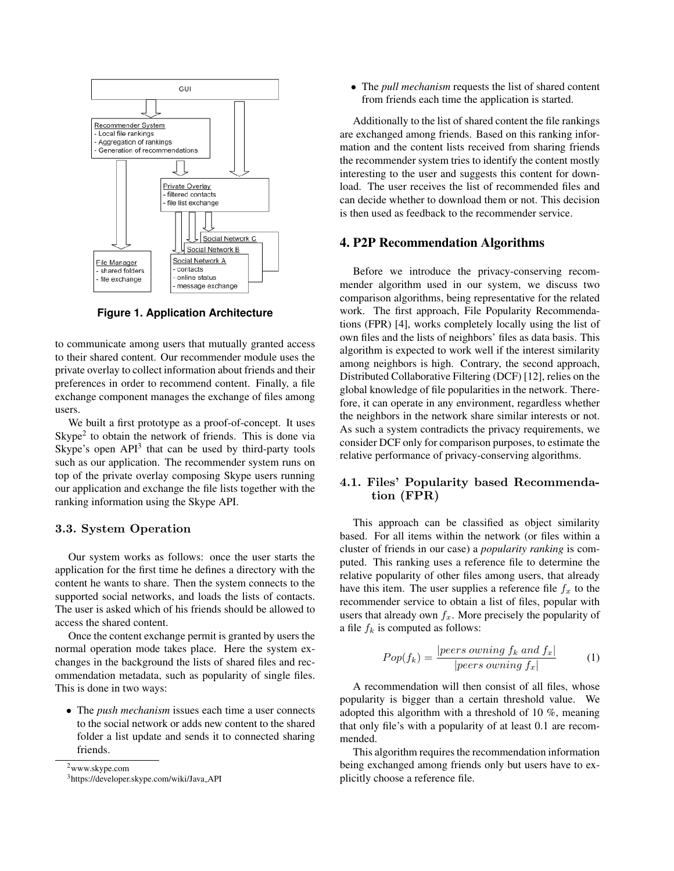

**Figure 1. Application Architecture**

to communicate among users that mutually granted access to their shared content. Our recommender module uses the private overlay to collect information about friends and their preferences in order to recommend content. Finally, a file exchange component manages the exchange of files among users.

We built a first prototype as a proof-of-concept. It uses  $Skype<sup>2</sup>$  to obtain the network of friends. This is done via Skype's open  $API<sup>3</sup>$  that can be used by third-party tools such as our application. The recommender system runs on top of the private overlay composing Skype users running our application and exchange the file lists together with the ranking information using the Skype API.

#### 3.3. System Operation

Our system works as follows: once the user starts the application for the first time he defines a directory with the content he wants to share. Then the system connects to the supported social networks, and loads the lists of contacts. The user is asked which of his friends should be allowed to access the shared content.

Once the content exchange permit is granted by users the normal operation mode takes place. Here the system exchanges in the background the lists of shared files and recommendation metadata, such as popularity of single files. This is done in two ways:

• The *push mechanism* issues each time a user connects to the social network or adds new content to the shared folder a list update and sends it to connected sharing friends.

2www.skype.com

• The *pull mechanism* requests the list of shared content from friends each time the application is started.

Additionally to the list of shared content the file rankings are exchanged among friends. Based on this ranking information and the content lists received from sharing friends the recommender system tries to identify the content mostly interesting to the user and suggests this content for download. The user receives the list of recommended files and can decide whether to download them or not. This decision is then used as feedback to the recommender service.

# 4. P2P Recommendation Algorithms

Before we introduce the privacy-conserving recommender algorithm used in our system, we discuss two comparison algorithms, being representative for the related work. The first approach, File Popularity Recommendations (FPR) [4], works completely locally using the list of own files and the lists of neighbors' files as data basis. This algorithm is expected to work well if the interest similarity among neighbors is high. Contrary, the second approach, Distributed Collaborative Filtering (DCF) [12], relies on the global knowledge of file popularities in the network. Therefore, it can operate in any environment, regardless whether the neighbors in the network share similar interests or not. As such a system contradicts the privacy requirements, we consider DCF only for comparison purposes, to estimate the relative performance of privacy-conserving algorithms.

### 4.1. Files' Popularity based Recommendation (FPR)

This approach can be classified as object similarity based. For all items within the network (or files within a cluster of friends in our case) a *popularity ranking* is computed. This ranking uses a reference file to determine the relative popularity of other files among users, that already have this item. The user supplies a reference file  $f<sub>x</sub>$  to the recommender service to obtain a list of files, popular with users that already own  $f_x$ . More precisely the popularity of a file  $f_k$  is computed as follows:

$$
Pop(f_k) = \frac{|peers\,owning\;f_k\;and\;f_x|}{|peers\;ownning\;f_x|}\qquad \qquad (1)
$$

A recommendation will then consist of all files, whose popularity is bigger than a certain threshold value. We adopted this algorithm with a threshold of 10 %, meaning that only file's with a popularity of at least 0.1 are recommended.

This algorithm requires the recommendation information being exchanged among friends only but users have to explicitly choose a reference file.

<sup>3</sup>https://developer.skype.com/wiki/Java API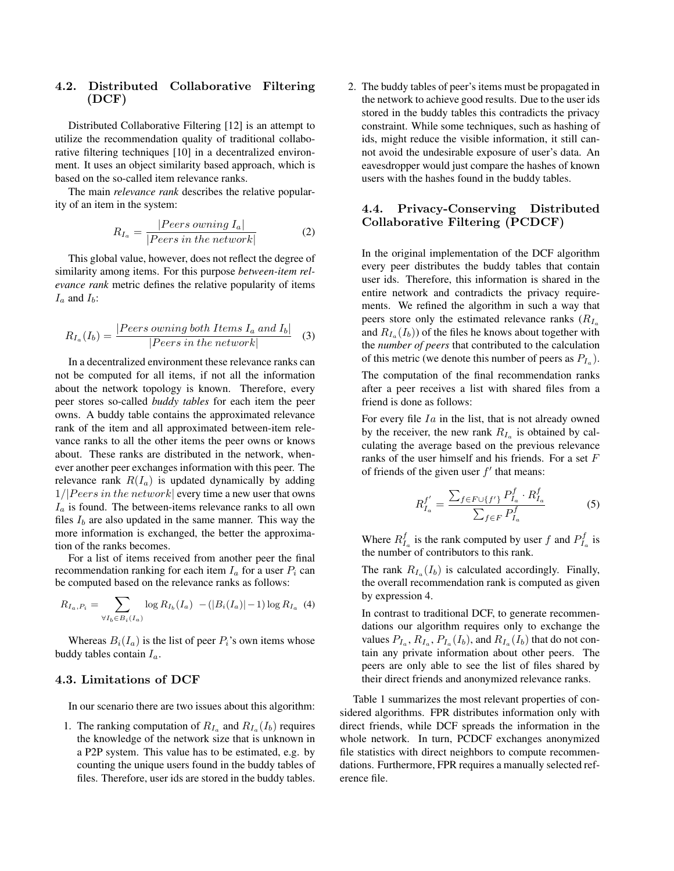# 4.2. Distributed Collaborative Filtering (DCF)

Distributed Collaborative Filtering [12] is an attempt to utilize the recommendation quality of traditional collaborative filtering techniques [10] in a decentralized environment. It uses an object similarity based approach, which is based on the so-called item relevance ranks.

The main *relevance rank* describes the relative popularity of an item in the system:

$$
R_{I_a} = \frac{|Peters\,ouning\,I_a|}{|Peters\,in\,the\,network|} \tag{2}
$$

This global value, however, does not reflect the degree of similarity among items. For this purpose *between-item relevance rank* metric defines the relative popularity of items  $I_a$  and  $I_b$ :

$$
R_{I_a}(I_b) = \frac{|Peers \, owning \, both \, Items \, I_a \, and \, I_b|}{|Peers \, in \, the \, network|} \tag{3}
$$

In a decentralized environment these relevance ranks can not be computed for all items, if not all the information about the network topology is known. Therefore, every peer stores so-called *buddy tables* for each item the peer owns. A buddy table contains the approximated relevance rank of the item and all approximated between-item relevance ranks to all the other items the peer owns or knows about. These ranks are distributed in the network, whenever another peer exchanges information with this peer. The relevance rank  $R(I_a)$  is updated dynamically by adding  $1/|Peers\ in\ the\ network|$  every time a new user that owns  $I_a$  is found. The between-items relevance ranks to all own files  $I<sub>b</sub>$  are also updated in the same manner. This way the more information is exchanged, the better the approximation of the ranks becomes.

For a list of items received from another peer the final recommendation ranking for each item  $I_a$  for a user  $P_i$  can be computed based on the relevance ranks as follows:

$$
R_{I_a, P_i} = \sum_{\forall I_b \in B_i(I_a)} \log R_{I_b}(I_a) - (|B_i(I_a)| - 1) \log R_{I_a}
$$
 (4)

Whereas  $B_i(I_a)$  is the list of peer  $P_i$ 's own items whose buddy tables contain  $I_a$ .

#### 4.3. Limitations of DCF

In our scenario there are two issues about this algorithm:

1. The ranking computation of  $R_{I_a}$  and  $R_{I_a}(I_b)$  requires the knowledge of the network size that is unknown in a P2P system. This value has to be estimated, e.g. by counting the unique users found in the buddy tables of files. Therefore, user ids are stored in the buddy tables.

2. The buddy tables of peer's items must be propagated in the network to achieve good results. Due to the user ids stored in the buddy tables this contradicts the privacy constraint. While some techniques, such as hashing of ids, might reduce the visible information, it still cannot avoid the undesirable exposure of user's data. An eavesdropper would just compare the hashes of known users with the hashes found in the buddy tables.

### 4.4. Privacy-Conserving Distributed Collaborative Filtering (PCDCF)

In the original implementation of the DCF algorithm every peer distributes the buddy tables that contain user ids. Therefore, this information is shared in the entire network and contradicts the privacy requirements. We refined the algorithm in such a way that peers store only the estimated relevance ranks  $(R<sub>Ia</sub>)$ and  $R_{I_a}(I_b)$  of the files he knows about together with the *number of peers* that contributed to the calculation of this metric (we denote this number of peers as  $P_{I_a}$ ).

The computation of the final recommendation ranks after a peer receives a list with shared files from a friend is done as follows:

For every file  $I_a$  in the list, that is not already owned by the receiver, the new rank  $R_{I_0}$  is obtained by calculating the average based on the previous relevance ranks of the user himself and his friends. For a set F of friends of the given user  $f'$  that means:

$$
R_{I_a}^{f'} = \frac{\sum_{f \in F \cup \{f'\}} P_{I_a}^f \cdot R_{I_a}^f}{\sum_{f \in F} P_{I_a}^f} \tag{5}
$$

Where  $R_{I_a}^f$  is the rank computed by user f and  $P_{I_a}^f$  is the number of contributors to this rank.

The rank  $R_{I_0}(I_b)$  is calculated accordingly. Finally, the overall recommendation rank is computed as given by expression 4.

In contrast to traditional DCF, to generate recommendations our algorithm requires only to exchange the values  $P_{I_a}, R_{I_a}, P_{I_a}(I_b)$ , and  $R_{I_a}(I_b)$  that do not contain any private information about other peers. The peers are only able to see the list of files shared by their direct friends and anonymized relevance ranks.

Table 1 summarizes the most relevant properties of considered algorithms. FPR distributes information only with direct friends, while DCF spreads the information in the whole network. In turn, PCDCF exchanges anonymized file statistics with direct neighbors to compute recommendations. Furthermore, FPR requires a manually selected reference file.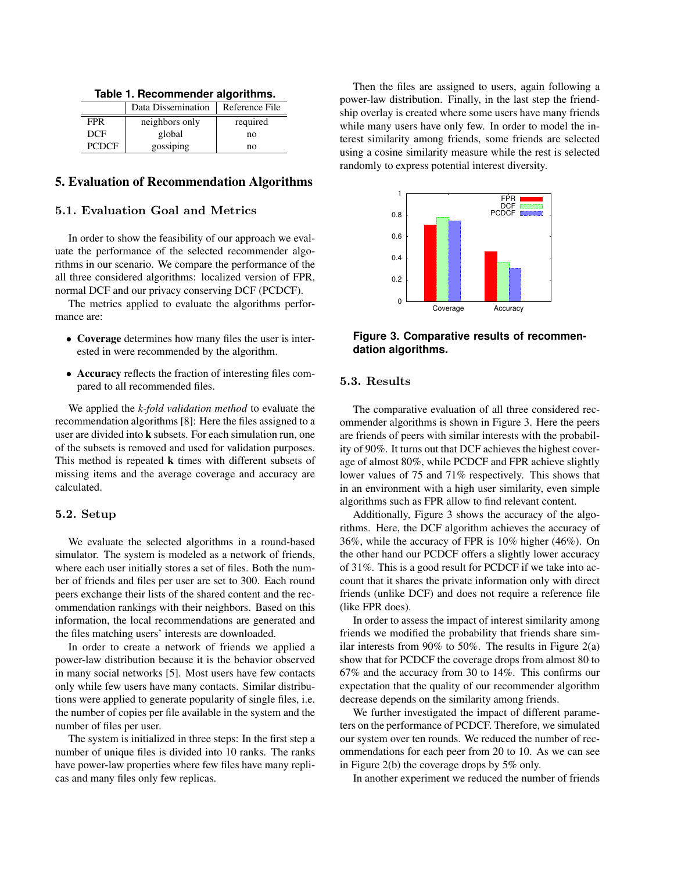|  | Table 1. Recommender algorithms. |  |
|--|----------------------------------|--|
|--|----------------------------------|--|

|              | Data Dissemination | Reference File |
|--------------|--------------------|----------------|
| <b>FPR</b>   | neighbors only     | required       |
| <b>DCF</b>   | global             | no             |
| <b>PCDCF</b> | gossiping          | no             |

# 5. Evaluation of Recommendation Algorithms

### 5.1. Evaluation Goal and Metrics

In order to show the feasibility of our approach we evaluate the performance of the selected recommender algorithms in our scenario. We compare the performance of the all three considered algorithms: localized version of FPR, normal DCF and our privacy conserving DCF (PCDCF).

The metrics applied to evaluate the algorithms performance are:

- Coverage determines how many files the user is interested in were recommended by the algorithm.
- Accuracy reflects the fraction of interesting files compared to all recommended files.

We applied the *k-fold validation method* to evaluate the recommendation algorithms [8]: Here the files assigned to a user are divided into k subsets. For each simulation run, one of the subsets is removed and used for validation purposes. This method is repeated k times with different subsets of missing items and the average coverage and accuracy are calculated.

#### 5.2. Setup

We evaluate the selected algorithms in a round-based simulator. The system is modeled as a network of friends, where each user initially stores a set of files. Both the number of friends and files per user are set to 300. Each round peers exchange their lists of the shared content and the recommendation rankings with their neighbors. Based on this information, the local recommendations are generated and the files matching users' interests are downloaded.

In order to create a network of friends we applied a power-law distribution because it is the behavior observed in many social networks [5]. Most users have few contacts only while few users have many contacts. Similar distributions were applied to generate popularity of single files, i.e. the number of copies per file available in the system and the number of files per user.

The system is initialized in three steps: In the first step a number of unique files is divided into 10 ranks. The ranks have power-law properties where few files have many replicas and many files only few replicas.

Then the files are assigned to users, again following a power-law distribution. Finally, in the last step the friendship overlay is created where some users have many friends while many users have only few. In order to model the interest similarity among friends, some friends are selected using a cosine similarity measure while the rest is selected randomly to express potential interest diversity.



**Figure 3. Comparative results of recommendation algorithms.**

### 5.3. Results

The comparative evaluation of all three considered recommender algorithms is shown in Figure 3. Here the peers are friends of peers with similar interests with the probability of 90%. It turns out that DCF achieves the highest coverage of almost 80%, while PCDCF and FPR achieve slightly lower values of 75 and 71% respectively. This shows that in an environment with a high user similarity, even simple algorithms such as FPR allow to find relevant content.

Additionally, Figure 3 shows the accuracy of the algorithms. Here, the DCF algorithm achieves the accuracy of 36%, while the accuracy of FPR is 10% higher (46%). On the other hand our PCDCF offers a slightly lower accuracy of 31%. This is a good result for PCDCF if we take into account that it shares the private information only with direct friends (unlike DCF) and does not require a reference file (like FPR does).

In order to assess the impact of interest similarity among friends we modified the probability that friends share similar interests from 90% to 50%. The results in Figure 2(a) show that for PCDCF the coverage drops from almost 80 to 67% and the accuracy from 30 to 14%. This confirms our expectation that the quality of our recommender algorithm decrease depends on the similarity among friends.

We further investigated the impact of different parameters on the performance of PCDCF. Therefore, we simulated our system over ten rounds. We reduced the number of recommendations for each peer from 20 to 10. As we can see in Figure 2(b) the coverage drops by 5% only.

In another experiment we reduced the number of friends